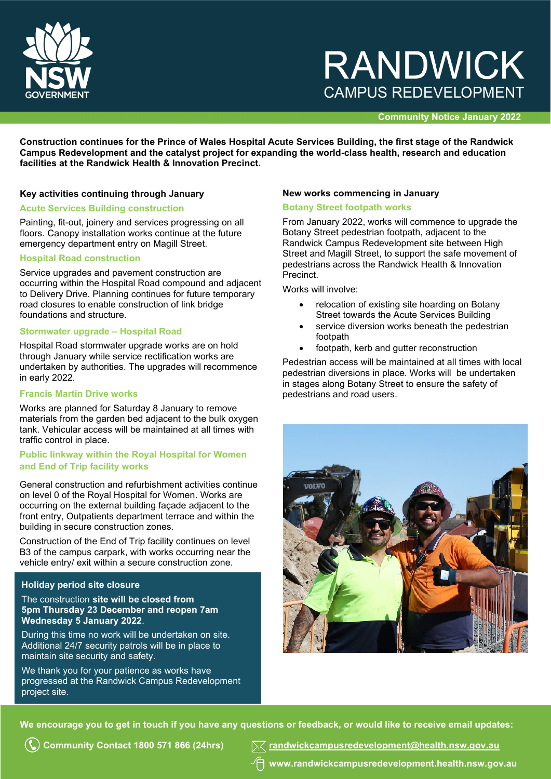

## **RANDWICK CAMPUS REDEVELOPMENT**

#### **Community Notice January 2022**

**Construction continues for the Prince of Wales Hospital Acute Services Building, the first stage of the Randwick Campus Redevelopment and the catalyst project for expanding the world-class health, research and education facilities at the Randwick Health & Innovation Precinct.**

#### **Key activities continuing through January**

## **Acute Services Building construction**

Painting, fit-out, joinery and services progressing on all floors. Canopy installation works continue at the future emergency department entry on Magill Street.

#### **Hospital Road construction**

Service upgrades and pavement construction are occurring within the Hospital Road compound and adjacent to Delivery Drive. Planning continues for future temporary road closures to enable construction of link bridge foundations and structure.

## **Stormwater upgrade – Hospital Road**

Hospital Road stormwater upgrade works are on hold through January while service rectification works are undertaken by authorities. The upgrades will recommence in early 2022.

#### **Francis Martin Drive works**

Works are planned for Saturday 8 January to remove materials from the garden bed adjacent to the bulk oxygen tank. Vehicular access will be maintained at all times with traffic control in place.

#### **Public linkway within the Royal Hospital for Women and End of Trip facility works**

General construction and refurbishment activities continue on level 0 of the Royal Hospital for Women. Works are occurring on the external building façade adjacent to the front entry, Outpatients department terrace and within the building in secure construction zones.

Construction of the End of Trip facility continues on level B3 of the campus carpark, with works occurring near the vehicle entry/ exit within a secure construction zone.

## **Holiday period site closure**

Ī

#### The construction **site will be closed from 5pm Thursday 23 December and reopen 7am Wednesday 5 January 2022**.

During this time no work will be undertaken on site. Additional 24/7 security patrols will be in place to maintain site security and safety.

We thank you for your patience as works have progressed at the Randwick Campus Redevelopment project site.

#### **New works commencing in January**

#### **Botany Street footpath works**

From January 2022, works will commence to upgrade the Botany Street pedestrian footpath, adjacent to the Randwick Campus Redevelopment site between High Street and Magill Street, to support the safe movement of pedestrians across the Randwick Health & Innovation Precinct.

Works will involve:

- relocation of existing site hoarding on Botany Street towards the Acute Services Building
- service diversion works beneath the pedestrian footpath
- footpath, kerb and gutter reconstruction

Pedestrian access will be maintained at all times with local pedestrian diversions in place. Works will be undertaken in stages along Botany Street to ensure the safety of pedestrians and road users.



**We encourage you to get in touch if you have any questions or feedback, or would like to receive email updates:**

**Community Contact 1800 571 866 (24hrs) [randwickcampusredevelopment@health.nsw.gov.au](mailto:randwickcampusredevelopment@health.nsw.gov.au) www[.randwickcampusredevelopment.health.nsw.gov.au](http://www.randwickcampusredevelopment.health.nsw.gov.au/)**